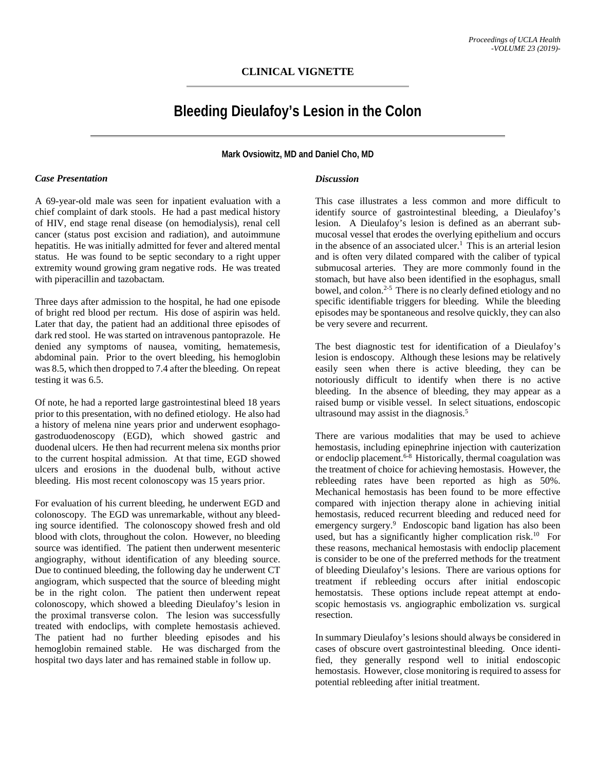# **CLINICAL VIGNETTE**

# **Bleeding Dieulafoy's Lesion in the Colon**

**Mark Ovsiowitz, MD and Daniel Cho, MD**

#### *Case Presentation*

A 69-year-old male was seen for inpatient evaluation with a chief complaint of dark stools. He had a past medical history of HIV, end stage renal disease (on hemodialysis), renal cell cancer (status post excision and radiation), and autoimmune hepatitis. He was initially admitted for fever and altered mental status. He was found to be septic secondary to a right upper extremity wound growing gram negative rods. He was treated with piperacillin and tazobactam.

Three days after admission to the hospital, he had one episode of bright red blood per rectum. His dose of aspirin was held. Later that day, the patient had an additional three episodes of dark red stool. He was started on intravenous pantoprazole. He denied any symptoms of nausea, vomiting, hematemesis, abdominal pain. Prior to the overt bleeding, his hemoglobin was 8.5, which then dropped to 7.4 after the bleeding. On repeat testing it was 6.5.

Of note, he had a reported large gastrointestinal bleed 18 years prior to this presentation, with no defined etiology. He also had a history of melena nine years prior and underwent esophagogastroduodenoscopy (EGD), which showed gastric and duodenal ulcers. He then had recurrent melena six months prior to the current hospital admission. At that time, EGD showed ulcers and erosions in the duodenal bulb, without active bleeding. His most recent colonoscopy was 15 years prior.

For evaluation of his current bleeding, he underwent EGD and colonoscopy. The EGD was unremarkable, without any bleeding source identified. The colonoscopy showed fresh and old blood with clots, throughout the colon. However, no bleeding source was identified. The patient then underwent mesenteric angiography, without identification of any bleeding source. Due to continued bleeding, the following day he underwent CT angiogram, which suspected that the source of bleeding might be in the right colon. The patient then underwent repeat colonoscopy, which showed a bleeding Dieulafoy's lesion in the proximal transverse colon. The lesion was successfully treated with endoclips, with complete hemostasis achieved. The patient had no further bleeding episodes and his hemoglobin remained stable. He was discharged from the hospital two days later and has remained stable in follow up.

## *Discussion*

This case illustrates a less common and more difficult to identify source of gastrointestinal bleeding, a Dieulafoy's lesion. A Dieulafoy's lesion is defined as an aberrant submucosal vessel that erodes the overlying epithelium and occurs in the absence of an associated ulcer.<sup>1</sup> This is an arterial lesion and is often very dilated compared with the caliber of typical submucosal arteries. They are more commonly found in the stomach, but have also been identified in the esophagus, small bowel, and colon.<sup>2-5</sup> There is no clearly defined etiology and no specific identifiable triggers for bleeding. While the bleeding episodes may be spontaneous and resolve quickly, they can also be very severe and recurrent.

The best diagnostic test for identification of a Dieulafoy's lesion is endoscopy. Although these lesions may be relatively easily seen when there is active bleeding, they can be notoriously difficult to identify when there is no active bleeding. In the absence of bleeding, they may appear as a raised bump or visible vessel. In select situations, endoscopic ultrasound may assist in the diagnosis.<sup>5</sup>

There are various modalities that may be used to achieve hemostasis, including epinephrine injection with cauterization or endoclip placement.<sup>6-8</sup> Historically, thermal coagulation was the treatment of choice for achieving hemostasis. However, the rebleeding rates have been reported as high as 50%. Mechanical hemostasis has been found to be more effective compared with injection therapy alone in achieving initial hemostasis, reduced recurrent bleeding and reduced need for emergency surgery. 9 Endoscopic band ligation has also been used, but has a significantly higher complication risk.<sup>10</sup> For these reasons, mechanical hemostasis with endoclip placement is consider to be one of the preferred methods for the treatment of bleeding Dieulafoy's lesions. There are various options for treatment if rebleeding occurs after initial endoscopic hemostatsis. These options include repeat attempt at endoscopic hemostasis vs. angiographic embolization vs. surgical resection.

In summary Dieulafoy's lesions should always be considered in cases of obscure overt gastrointestinal bleeding. Once identified, they generally respond well to initial endoscopic hemostasis. However, close monitoring is required to assess for potential rebleeding after initial treatment.